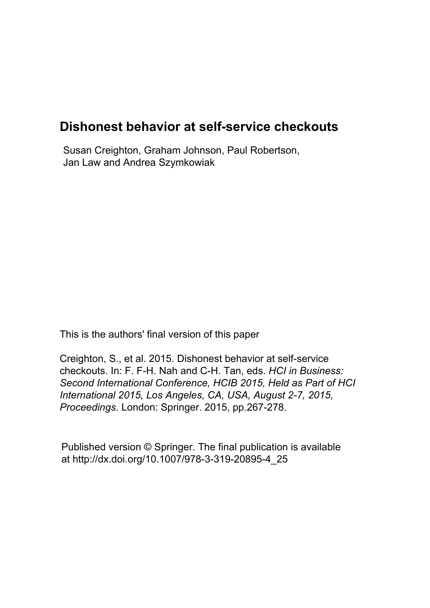# **Dishonest behavior at self-service checkouts**

Susan Creighton, Graham Johnson, Paul Robertson, Jan Law and Andrea Szymkowiak

This is the authors' final version of this paper

Creighton, S., et al. 2015. Dishonest behavior at self-service checkouts. In: F. F-H. Nah and C-H. Tan, eds. *HCI in Business: Second International Conference, HCIB 2015, Held as Part of HCI International 2015, Los Angeles, CA, USA, August 2-7, 2015, Proceedings*. London: Springer. 2015, pp.267-278.

Published version © Springer. The final publication is available at http://dx.doi.org/10.1007/978-3-319-20895-4\_25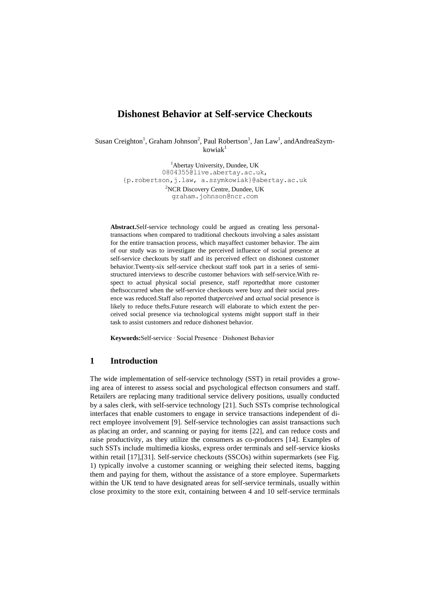# **Dishonest Behavior at Self-service Checkouts**

Susan Creighton<sup>1</sup>, Graham Johnson<sup>2</sup>, Paul Robertson<sup>1</sup>, Jan Law<sup>1</sup>, andAndreaSzym $k$ owia $k^1$ 

> <sup>1</sup>Abertay University, Dundee, UK 0804355@live.abertay.ac.uk, {p.robertson,j.law, a.szymkowiak}@abertay.ac.uk <sup>2</sup>NCR Discovery Centre, Dundee, UK graham.johnson@ncr.com

**Abstract.**Self-service technology could be argued as creating less personaltransactions when compared to traditional checkouts involving a sales assistant for the entire transaction process, which mayaffect customer behavior. The aim of our study was to investigate the perceived influence of social presence at self-service checkouts by staff and its perceived effect on dishonest customer behavior.Twenty-six self-service checkout staff took part in a series of semistructured interviews to describe customer behaviors with self-service.With respect to actual physical social presence, staff reportedthat more customer theftsoccurred when the self-service checkouts were busy and their social presence was reduced.Staff also reported that*perceived* and *actual* social presence is likely to reduce thefts.Future research will elaborate to which extent the perceived social presence via technological systems might support staff in their task to assist customers and reduce dishonest behavior.

**Keywords:**Self-service ∙ Social Presence ∙ Dishonest Behavior

## **1 Introduction**

The wide implementation of self-service technology (SST) in retail provides a growing area of interest to assess social and psychological effectson consumers and staff. Retailers are replacing many traditional service delivery positions, usually conducted by a sales clerk, with self-service technology [21]. Such SSTs comprise technological interfaces that enable customers to engage in service transactions independent of direct employee involvement [9]. Self-service technologies can assist transactions such as placing an order, and scanning or paying for items [22], and can reduce costs and raise productivity, as they utilize the consumers as co-producers [14]. Examples of such SSTs include multimedia kiosks, express order terminals and self-service kiosks within retail [17], [31]. Self-service checkouts (SSCOs) within supermarkets (see Fig. 1) typically involve a customer scanning or weighing their selected items, bagging them and paying for them, without the assistance of a store employee. Supermarkets within the UK tend to have designated areas for self-service terminals, usually within close proximity to the store exit, containing between 4 and 10 self-service terminals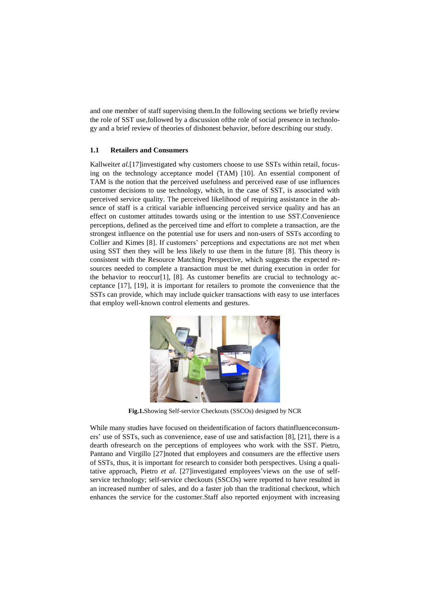and one member of staff supervising them.In the following sections we briefly review the role of SST use,followed by a discussion ofthe role of social presence in technology and a brief review of theories of dishonest behavior, before describing our study.

#### **1.1 Retailers and Consumers**

Kallweitet al.<sup>[17]</sup>investigated why customers choose to use SSTs within retail, focusing on the technology acceptance model (TAM) [10]. An essential component of TAM is the notion that the perceived usefulness and perceived ease of use influences customer decisions to use technology, which, in the case of SST, is associated with perceived service quality. The perceived likelihood of requiring assistance in the absence of staff is a critical variable influencing perceived service quality and has an effect on customer attitudes towards using or the intention to use SST.Convenience perceptions, defined as the perceived time and effort to complete a transaction, are the strongest influence on the potential use for users and non-users of SSTs according to Collier and Kimes [8]. If customers' perceptions and expectations are not met when using SST then they will be less likely to use them in the future [8]. This theory is consistent with the Resource Matching Perspective, which suggests the expected resources needed to complete a transaction must be met during execution in order for the behavior to reoccur<sup>[1]</sup>, [8]. As customer benefits are crucial to technology acceptance [17], [19], it is important for retailers to promote the convenience that the SSTs can provide, which may include quicker transactions with easy to use interfaces that employ well-known control elements and gestures.



**Fig.1.**Showing Self-service Checkouts (SSCOs) designed by NCR

While many studies have focused on theidentification of factors thatinfluenceconsumers' use of SSTs, such as convenience, ease of use and satisfaction [8], [21], there is a dearth ofresearch on the perceptions of employees who work with the SST. Pietro, Pantano and Virgillo [27]noted that employees and consumers are the effective users of SSTs, thus, it is important for research to consider both perspectives. Using a qualitative approach, Pietro *et al.* [27]investigated employees'views on the use of selfservice technology; self-service checkouts (SSCOs) were reported to have resulted in an increased number of sales, and do a faster job than the traditional checkout, which enhances the service for the customer.Staff also reported enjoyment with increasing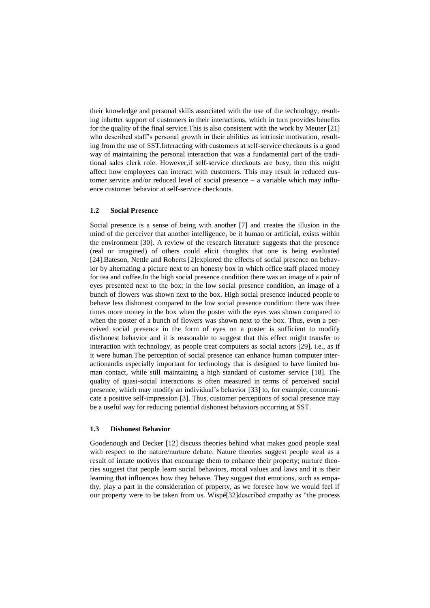their knowledge and personal skills associated with the use of the technology, resulting inbetter support of customers in their interactions, which in turn provides benefits for the quality of the final service.This is also consistent with the work by Meuter [21] who described staff's personal growth in their abilities as intrinsic motivation, resulting from the use of SST.Interacting with customers at self-service checkouts is a good way of maintaining the personal interaction that was a fundamental part of the traditional sales clerk role. However,if self-service checkouts are busy, then this might affect how employees can interact with customers. This may result in reduced customer service and/or reduced level of social presence – a variable which may influence customer behavior at self-service checkouts.

### **1.2 Social Presence**

Social presence is a sense of being with another [7] and creates the illusion in the mind of the perceiver that another intelligence, be it human or artificial, exists within the environment [30]. A review of the research literature suggests that the presence (real or imagined) of others could elicit thoughts that one is being evaluated [24].Bateson, Nettle and Roberts [2]explored the effects of social presence on behavior by alternating a picture next to an honesty box in which office staff placed money for tea and coffee.In the high social presence condition there was an image of a pair of eyes presented next to the box; in the low social presence condition, an image of a bunch of flowers was shown next to the box. High social presence induced people to behave less dishonest compared to the low social presence condition: there was three times more money in the box when the poster with the eyes was shown compared to when the poster of a bunch of flowers was shown next to the box. Thus, even a perceived social presence in the form of eyes on a poster is sufficient to modify dis/honest behavior and it is reasonable to suggest that this effect might transfer to interaction with technology, as people treat computers as social actors [29], i.e., as if it were human.The perception of social presence can enhance human computer interactionandis especially important for technology that is designed to have limited human contact, while still maintaining a high standard of customer service [18]. The quality of quasi-social interactions is often measured in terms of perceived social presence, which may modify an individual's behavior [33] to, for example, communicate a positive self-impression [3]. Thus, customer perceptions of social presence may be a useful way for reducing potential dishonest behaviors occurring at SST.

#### **1.3 Dishonest Behavior**

Goodenough and Decker [12] discuss theories behind what makes good people steal with respect to the nature/nurture debate. Nature theories suggest people steal as a result of innate motives that encourage them to enhance their property; nurture theories suggest that people learn social behaviors, moral values and laws and it is their learning that influences how they behave. They suggest that emotions, such as empathy, play a part in the consideration of property, as we foresee how we would feel if our property were to be taken from us. Wispé[32]described empathy as "the process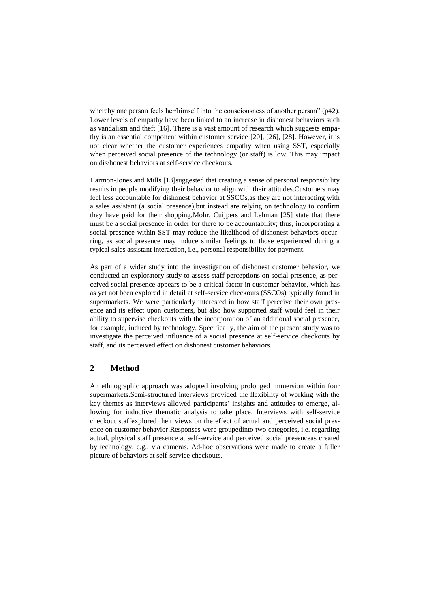whereby one person feels her/himself into the consciousness of another person" (p42). Lower levels of empathy have been linked to an increase in dishonest behaviors such as vandalism and theft [16]. There is a vast amount of research which suggests empathy is an essential component within customer service [20], [26], [28]. However, it is not clear whether the customer experiences empathy when using SST, especially when perceived social presence of the technology (or staff) is low. This may impact on dis/honest behaviors at self-service checkouts.

Harmon-Jones and Mills [13]suggested that creating a sense of personal responsibility results in people modifying their behavior to align with their attitudes.Customers may feel less accountable for dishonest behavior at SSCOs,as they are not interacting with a sales assistant (a social presence),but instead are relying on technology to confirm they have paid for their shopping.Mohr, Cuijpers and Lehman [25] state that there must be a social presence in order for there to be accountability; thus, incorporating a social presence within SST may reduce the likelihood of dishonest behaviors occurring, as social presence may induce similar feelings to those experienced during a typical sales assistant interaction, i.e., personal responsibility for payment.

As part of a wider study into the investigation of dishonest customer behavior, we conducted an exploratory study to assess staff perceptions on social presence, as perceived social presence appears to be a critical factor in customer behavior, which has as yet not been explored in detail at self-service checkouts (SSCOs) typically found in supermarkets. We were particularly interested in how staff perceive their own presence and its effect upon customers, but also how supported staff would feel in their ability to supervise checkouts with the incorporation of an additional social presence, for example, induced by technology. Specifically, the aim of the present study was to investigate the perceived influence of a social presence at self-service checkouts by staff, and its perceived effect on dishonest customer behaviors.

## **2 Method**

An ethnographic approach was adopted involving prolonged immersion within four supermarkets.Semi-structured interviews provided the flexibility of working with the key themes as interviews allowed participants' insights and attitudes to emerge, allowing for inductive thematic analysis to take place. Interviews with self-service checkout staffexplored their views on the effect of actual and perceived social presence on customer behavior.Responses were groupedinto two categories, i.e. regarding actual, physical staff presence at self-service and perceived social presenceas created by technology, e.g., via cameras. Ad-hoc observations were made to create a fuller picture of behaviors at self-service checkouts.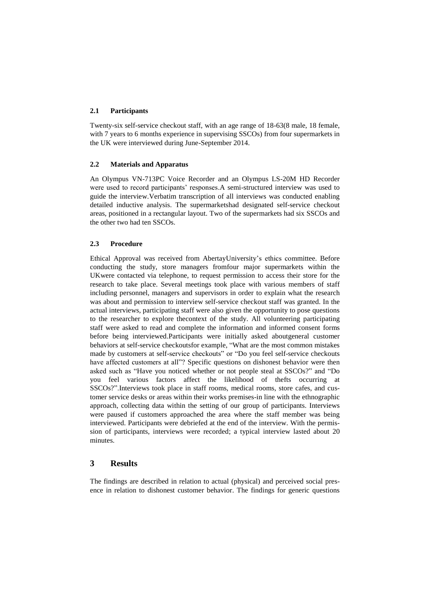### **2.1 Participants**

Twenty-six self-service checkout staff, with an age range of 18-63(8 male, 18 female, with 7 years to 6 months experience in supervising SSCOs) from four supermarkets in the UK were interviewed during June-September 2014.

#### **2.2 Materials and Apparatus**

An Olympus VN-713PC Voice Recorder and an Olympus LS-20M HD Recorder were used to record participants' responses.A semi-structured interview was used to guide the interview.Verbatim transcription of all interviews was conducted enabling detailed inductive analysis. The supermarketshad designated self-service checkout areas, positioned in a rectangular layout. Two of the supermarkets had six SSCOs and the other two had ten SSCOs.

#### **2.3 Procedure**

Ethical Approval was received from AbertayUniversity's ethics committee. Before conducting the study, store managers fromfour major supermarkets within the UKwere contacted via telephone, to request permission to access their store for the research to take place. Several meetings took place with various members of staff including personnel, managers and supervisors in order to explain what the research was about and permission to interview self-service checkout staff was granted. In the actual interviews, participating staff were also given the opportunity to pose questions to the researcher to explore thecontext of the study. All volunteering participating staff were asked to read and complete the information and informed consent forms before being interviewed.Participants were initially asked aboutgeneral customer behaviors at self-service checkoutsfor example, "What are the most common mistakes made by customers at self-service checkouts" or "Do you feel self-service checkouts have affected customers at all"? Specific questions on dishonest behavior were then asked such as "Have you noticed whether or not people steal at SSCOs?" and "Do you feel various factors affect the likelihood of thefts occurring at SSCOs?".Interviews took place in staff rooms, medical rooms, store cafes, and customer service desks or areas within their works premises-in line with the ethnographic approach, collecting data within the setting of our group of participants. Interviews were paused if customers approached the area where the staff member was being interviewed. Participants were debriefed at the end of the interview. With the permission of participants, interviews were recorded; a typical interview lasted about 20 minutes.

## **3 Results**

The findings are described in relation to actual (physical) and perceived social presence in relation to dishonest customer behavior. The findings for generic questions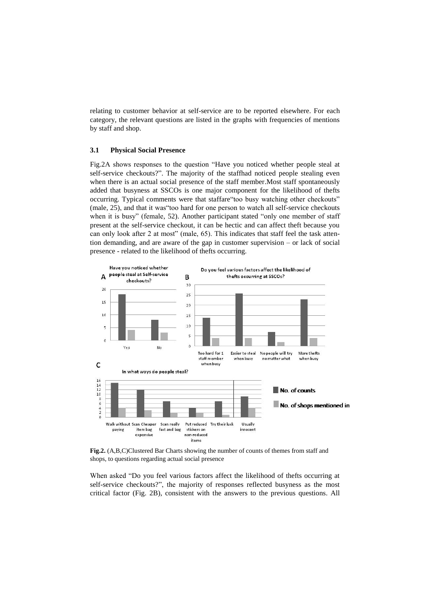relating to customer behavior at self-service are to be reported elsewhere. For each category, the relevant questions are listed in the graphs with frequencies of mentions by staff and shop.

#### **3.1 Physical Social Presence**

Fig.2A shows responses to the question "Have you noticed whether people steal at self-service checkouts?". The majority of the staffhad noticed people stealing even when there is an actual social presence of the staff member.Most staff spontaneously added that busyness at SSCOs is one major component for the likelihood of thefts occurring. Typical comments were that staffare"too busy watching other checkouts" (male, 25), and that it was"too hard for one person to watch all self-service checkouts when it is busy" (female, 52). Another participant stated "only one member of staff present at the self-service checkout, it can be hectic and can affect theft because you can only look after 2 at most" (male, 65). This indicates that staff feel the task attention demanding, and are aware of the gap in customer supervision – or lack of social presence - related to the likelihood of thefts occurring.



**Fig.2.** (A,B,C)Clustered Bar Charts showing the number of counts of themes from staff and shops, to questions regarding actual social presence

When asked "Do you feel various factors affect the likelihood of thefts occurring at self-service checkouts?", the majority of responses reflected busyness as the most critical factor (Fig. 2B), consistent with the answers to the previous questions. All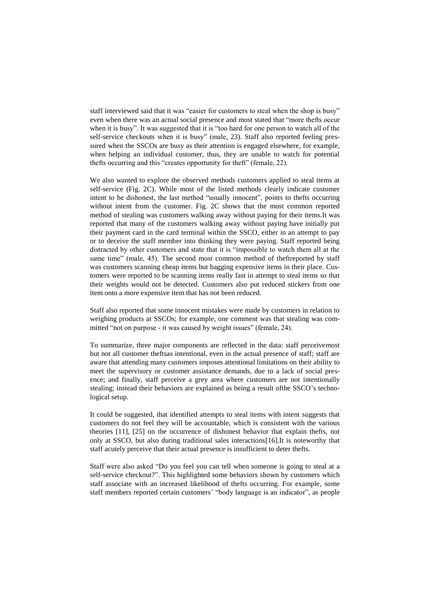staff interviewed said that it was "easier for customers to steal when the shop is busy" even when there was an actual social presence and most stated that "more thefts occur when it is busy". It was suggested that it is "too hard for one person to watch all of the self-service checkouts when it is busy" (male, 23). Staff also reported feeling pressured when the SSCOs are busy as their attention is engaged elsewhere, for example, when helping an individual customer, thus, they are unable to watch for potential thefts occurring and this "creates opportunity for theft" (female, 22).

We also wanted to explore the observed methods customers applied to steal items at self-service (Fig. 2C). While most of the listed methods clearly indicate customer intent to be dishonest, the last method "usually innocent", points to thefts occurring without intent from the customer. Fig. 2C shows that the most common reported method of stealing was customers walking away without paying for their items.It was reported that many of the customers walking away without paying have initially put their payment card in the card terminal within the SSCO, either in an attempt to pay or to deceive the staff member into thinking they were paying. Staff reported being distracted by other customers and state that it is "impossible to watch them all at the same time" (male, 45). The second most common method of theftreported by staff was customers scanning cheap items but bagging expensive items in their place. Customers were reported to be scanning items really fast in attempt to steal items so that their weights would not be detected. Customers also put reduced stickers from one item onto a more expensive item that has not been reduced.

Staff also reported that some innocent mistakes were made by customers in relation to weighing products at SSCOs; for example, one comment was that stealing was committed "not on purpose - it was caused by weight issues" (female, 24).

To summarize, three major components are reflected in the data: staff perceivemost but not all customer theftsas intentional, even in the actual presence of staff; staff are aware that attending many customers imposes attentional limitations on their ability to meet the supervisory or customer assistance demands, due to a lack of social presence; and finally, staff perceive a grey area where customers are not intentionally stealing; instead their behaviors are explained as being a result ofthe SSCO's technological setup.

It could be suggested, that identified attempts to steal items with intent suggests that customers do not feel they will be accountable, which is consistent with the various theories [11], [25] on the occurrence of dishonest behavior that explain thefts, not only at SSCO, but also during traditional sales interactions[16].It is noteworthy that staff acutely perceive that their actual presence is insufficient to deter thefts.

Staff were also asked "Do you feel you can tell when someone is going to steal at a self-service checkout?". This highlighted some behaviors shown by customers which staff associate with an increased likelihood of thefts occurring. For example, some staff members reported certain customers' "body language is an indicator", as people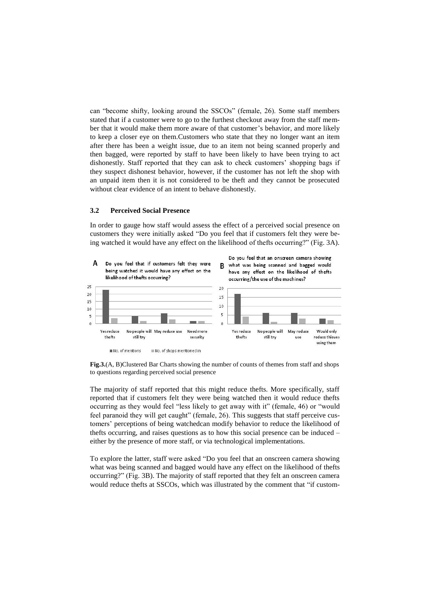can "become shifty, looking around the SSCOs" (female, 26). Some staff members stated that if a customer were to go to the furthest checkout away from the staff member that it would make them more aware of that customer's behavior, and more likely to keep a closer eye on them.Customers who state that they no longer want an item after there has been a weight issue, due to an item not being scanned properly and then bagged, were reported by staff to have been likely to have been trying to act dishonestly. Staff reported that they can ask to check customers' shopping bags if they suspect dishonest behavior, however, if the customer has not left the shop with an unpaid item then it is not considered to be theft and they cannot be prosecuted without clear evidence of an intent to behave dishonestly.

#### **3.2 Perceived Social Presence**

In order to gauge how staff would assess the effect of a perceived social presence on customers they were initially asked "Do you feel that if customers felt they were being watched it would have any effect on the likelihood of thefts occurring?" (Fig. 3A).



**Fig.3.**(A, B)Clustered Bar Charts showing the number of counts of themes from staff and shops to questions regarding perceived social presence

The majority of staff reported that this might reduce thefts. More specifically, staff reported that if customers felt they were being watched then it would reduce thefts occurring as they would feel "less likely to get away with it" (female, 46) or "would feel paranoid they will get caught" (female, 26). This suggests that staff perceive customers' perceptions of being watchedcan modify behavior to reduce the likelihood of thefts occurring, and raises questions as to how this social presence can be induced – either by the presence of more staff, or via technological implementations.

To explore the latter, staff were asked "Do you feel that an onscreen camera showing what was being scanned and bagged would have any effect on the likelihood of thefts occurring?" (Fig. 3B). The majority of staff reported that they felt an onscreen camera would reduce thefts at SSCOs, which was illustrated by the comment that "if custom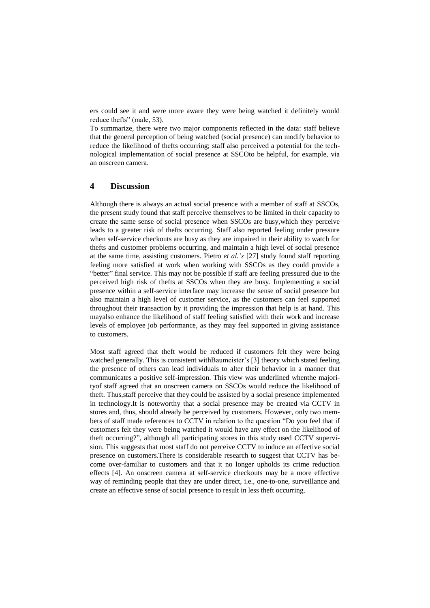ers could see it and were more aware they were being watched it definitely would reduce thefts" (male, 53).

To summarize, there were two major components reflected in the data: staff believe that the general perception of being watched (social presence) can modify behavior to reduce the likelihood of thefts occurring; staff also perceived a potential for the technological implementation of social presence at SSCOto be helpful, for example, via an onscreen camera.

## **4 Discussion**

Although there is always an actual social presence with a member of staff at SSCOs, the present study found that staff perceive themselves to be limited in their capacity to create the same sense of social presence when SSCOs are busy,which they perceive leads to a greater risk of thefts occurring. Staff also reported feeling under pressure when self-service checkouts are busy as they are impaired in their ability to watch for thefts and customer problems occurring, and maintain a high level of social presence at the same time, assisting customers. Pietro *et al.'s* [27] study found staff reporting feeling more satisfied at work when working with SSCOs as they could provide a "better" final service. This may not be possible if staff are feeling pressured due to the perceived high risk of thefts at SSCOs when they are busy. Implementing a social presence within a self-service interface may increase the sense of social presence but also maintain a high level of customer service, as the customers can feel supported throughout their transaction by it providing the impression that help is at hand. This mayalso enhance the likelihood of staff feeling satisfied with their work and increase levels of employee job performance, as they may feel supported in giving assistance to customers.

Most staff agreed that theft would be reduced if customers felt they were being watched generally. This is consistent withBaumeister's [3] theory which stated feeling the presence of others can lead individuals to alter their behavior in a manner that communicates a positive self-impression. This view was underlined whenthe majorityof staff agreed that an onscreen camera on SSCOs would reduce the likelihood of theft. Thus,staff perceive that they could be assisted by a social presence implemented in technology.It is noteworthy that a social presence may be created via CCTV in stores and, thus, should already be perceived by customers. However, only two members of staff made references to CCTV in relation to the question "Do you feel that if customers felt they were being watched it would have any effect on the likelihood of theft occurring?", although all participating stores in this study used CCTV supervision. This suggests that most staff do not perceive CCTV to induce an effective social presence on customers.There is considerable research to suggest that CCTV has become over-familiar to customers and that it no longer upholds its crime reduction effects [4]. An onscreen camera at self-service checkouts may be a more effective way of reminding people that they are under direct, i.e., one-to-one, surveillance and create an effective sense of social presence to result in less theft occurring.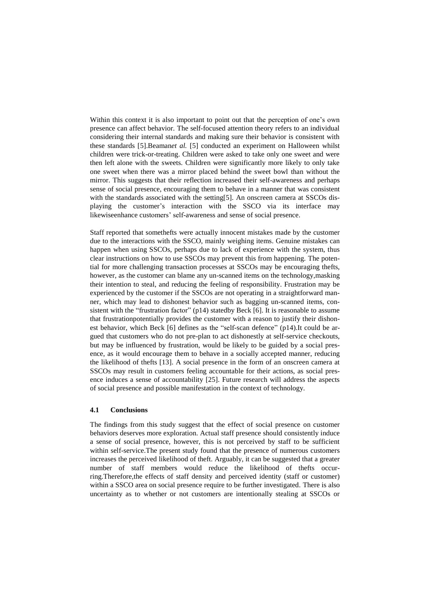Within this context it is also important to point out that the perception of one's own presence can affect behavior. The self-focused attention theory refers to an individual considering their internal standards and making sure their behavior is consistent with these standards [5].Beaman*et al.* [5] conducted an experiment on Halloween whilst children were trick-or-treating. Children were asked to take only one sweet and were then left alone with the sweets. Children were significantly more likely to only take one sweet when there was a mirror placed behind the sweet bowl than without the mirror. This suggests that their reflection increased their self-awareness and perhaps sense of social presence, encouraging them to behave in a manner that was consistent with the standards associated with the setting[5]. An onscreen camera at SSCOs displaying the customer's interaction with the SSCO via its interface may likewiseenhance customers' self-awareness and sense of social presence.

Staff reported that somethefts were actually innocent mistakes made by the customer due to the interactions with the SSCO, mainly weighing items. Genuine mistakes can happen when using SSCOs, perhaps due to lack of experience with the system, thus clear instructions on how to use SSCOs may prevent this from happening. The potential for more challenging transaction processes at SSCOs may be encouraging thefts, however, as the customer can blame any un-scanned items on the technology,masking their intention to steal, and reducing the feeling of responsibility. Frustration may be experienced by the customer if the SSCOs are not operating in a straightforward manner, which may lead to dishonest behavior such as bagging un-scanned items, consistent with the "frustration factor" (p14) statedby Beck [6]. It is reasonable to assume that frustrationpotentially provides the customer with a reason to justify their dishonest behavior, which Beck [6] defines as the "self-scan defence" (p14).It could be argued that customers who do not pre-plan to act dishonestly at self-service checkouts, but may be influenced by frustration, would be likely to be guided by a social presence, as it would encourage them to behave in a socially accepted manner, reducing the likelihood of thefts [13]. A social presence in the form of an onscreen camera at SSCOs may result in customers feeling accountable for their actions, as social presence induces a sense of accountability [25]. Future research will address the aspects of social presence and possible manifestation in the context of technology.

#### **4.1 Conclusions**

The findings from this study suggest that the effect of social presence on customer behaviors deserves more exploration. Actual staff presence should consistently induce a sense of social presence, however, this is not perceived by staff to be sufficient within self-service.The present study found that the presence of numerous customers increases the perceived likelihood of theft. Arguably, it can be suggested that a greater number of staff members would reduce the likelihood of thefts occurring.Therefore,the effects of staff density and perceived identity (staff or customer) within a SSCO area on social presence require to be further investigated. There is also uncertainty as to whether or not customers are intentionally stealing at SSCOs or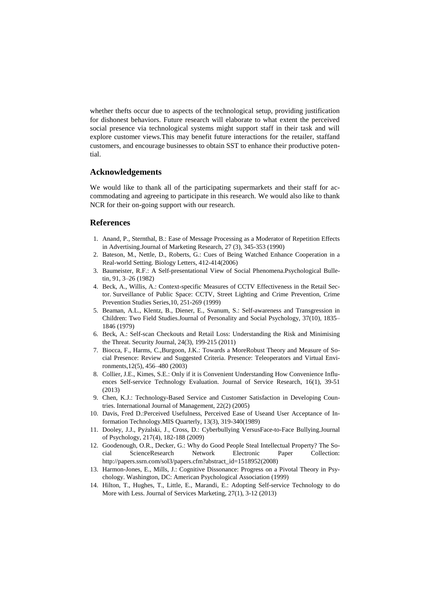whether thefts occur due to aspects of the technological setup, providing justification for dishonest behaviors. Future research will elaborate to what extent the perceived social presence via technological systems might support staff in their task and will explore customer views.This may benefit future interactions for the retailer, staffand customers, and encourage businesses to obtain SST to enhance their productive potential.

## **Acknowledgements**

We would like to thank all of the participating supermarkets and their staff for accommodating and agreeing to participate in this research. We would also like to thank NCR for their on-going support with our research.

#### **References**

- 1. Anand, P., Sternthal, B.: Ease of Message Processing as a Moderator of Repetition Effects in Advertising.Journal of Marketing Research, 27 (3), 345-353 (1990)
- 2. Bateson, M., Nettle, D., Roberts, G.: Cues of Being Watched Enhance Cooperation in a Real-world Setting. Biology Letters, 412-414(2006)
- 3. Baumeister, R.F.: A Self-presentational View of Social Phenomena.Psychological Bulletin, 91, 3–26 (1982)
- 4. Beck, A., Willis, A.: Context-specific Measures of CCTV Effectiveness in the Retail Sector. Surveillance of Public Space: CCTV, Street Lighting and Crime Prevention, Crime Prevention Studies Series,10, 251-269 (1999)
- 5. Beaman, A.L., Klentz, B., Diener, E., Svanum, S.: Self-awareness and Transgression in Children: Two Field Studies.Journal of Personality and Social Psychology, 37(10), 1835– 1846 (1979)
- 6. Beck, A.: Self-scan Checkouts and Retail Loss: Understanding the Risk and Minimising the Threat. Security Journal, 24(3), 199-215 (2011)
- 7. Biocca, F., Harms, C.,Burgoon, J.K.: Towards a MoreRobust Theory and Measure of Social Presence: Review and Suggested Criteria. Presence: Teleoperators and Virtual Environments,12(5), 456–480 (2003)
- 8. Collier, J.E., Kimes, S.E.: Only if it is Convenient Understanding How Convenience Influences Self-service Technology Evaluation. Journal of Service Research, 16(1), 39-51 (2013)
- 9. Chen, K.J.: Technology-Based Service and Customer Satisfaction in Developing Countries. International Journal of Management, 22(2) (2005)
- 10. Davis, Fred D.:Perceived Usefulness, Perceived Ease of Useand User Acceptance of Information Technology.MIS Quarterly, 13(3), 319-340(1989)
- 11. Dooley, J.J., Pyżalski, J., Cross, D.: Cyberbullying VersusFace-to-Face Bullying.Journal of Psychology, 217(4), 182-188 (2009)
- 12. Goodenough, O.R., Decker, G.: Why do Good People Steal Intellectual Property? The Social ScienceResearch Network Electronic Paper Collection: [http://papers.ssrn.com/sol3/papers.cfm?abstract\\_id=1518952\(](http://papers.ssrn.com/sol3/papers.cfm?abstract_id=1518952)2008)
- 13. Harmon-Jones, E., Mills, J.: Cognitive Dissonance: Progress on a Pivotal Theory in Psychology. Washington, DC: American Psychological Association (1999)
- 14. Hilton, T., Hughes, T., Little, E., Marandi, E.: Adopting Self-service Technology to do More with Less. Journal of Services Marketing, 27(1), 3-12 (2013)